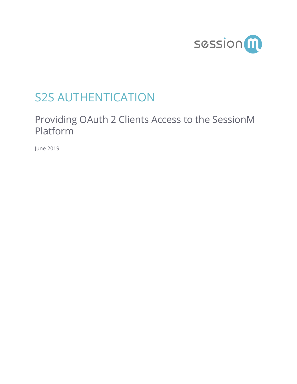

# S2S AUTHENTICATION

# Providing OAuth 2 Clients Access to the SessionM Platform

June 2019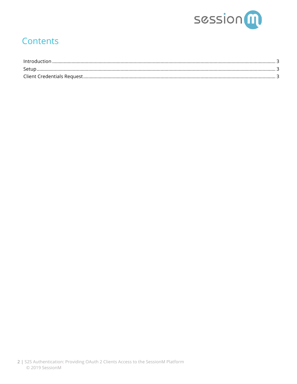

## **Contents**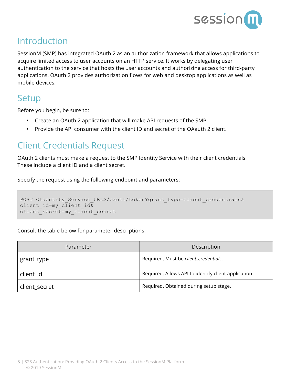

### Introduction

SessionM (SMP) has integrated OAuth 2 as an authorization framework that allows applications to acquire limited access to user accounts on an HTTP service. It works by delegating user authentication to the service that hosts the user accounts and authorizing access for third-party applications. OAuth 2 provides authorization flows for web and desktop applications as well as mobile devices.

#### **Setup**

Before you begin, be sure to:

- Create an OAuth 2 application that will make API requests of the SMP.
- Provide the API consumer with the client ID and secret of the OAauth 2 client.

#### Client Credentials Request

OAuth 2 clients must make a request to the SMP Identity Service with their client credentials. These include a client ID and a client secret.

Specify the request using the following endpoint and parameters:

```
POST <Identity Service URL>/oauth/token?grant type=client credentials&
client id=my client id\overline{\&}client secret=my client secret
```
Consult the table below for parameter descriptions:

| Parameter     | Description                                          |
|---------------|------------------------------------------------------|
| grant_type    | Required. Must be client_credentials.                |
| client id     | Required. Allows API to identify client application. |
| client secret | Required. Obtained during setup stage.               |